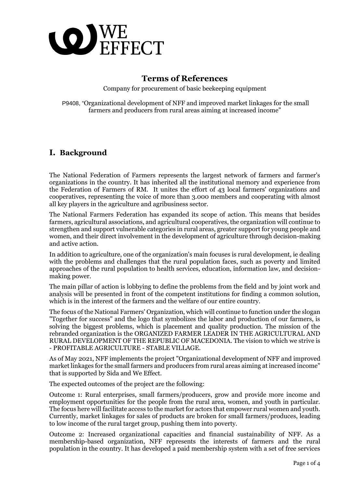

## **Terms of References**

Company for procurement of basic beekeeping equipment

P9408, "Organizational development of NFF and improved market linkages for the small farmers and producers from rural areas aiming at increased income"

## **I. Background**

The National Federation of Farmers represents the largest network of farmers and farmer's organizations in the country. It has inherited all the institutional memory and experience from the Federation of Farmers of RM. It unites the effort of 43 local farmers' organizations and cooperatives, representing the voice of more than 3.000 members and cooperating with almost all key players in the agriculture and agribusiness sector.

The National Farmers Federation has expanded its scope of action. This means that besides farmers, agricultural associations, and agricultural cooperatives, the organization will continue to strengthen and support vulnerable categories in rural areas, greater support for young people and women, and their direct involvement in the development of agriculture through decision-making and active action.

In addition to agriculture, one of the organization's main focuses is rural development, ie dealing with the problems and challenges that the rural population faces, such as poverty and limited approaches of the rural population to health services, education, information law, and decisionmaking power.

The main pillar of action is lobbying to define the problems from the field and by joint work and analysis will be presented in front of the competent institutions for finding a common solution, which is in the interest of the farmers and the welfare of our entire country.

The focus of the National Farmers' Organization, which will continue to function under the slogan "Together for success" and the logo that symbolizes the labor and production of our farmers, is solving the biggest problems, which is placement and quality production. The mission of the rebranded organization is the ORGANIZED FARMER LEADER IN THE AGRICULTURAL AND RURAL DEVELOPMENT OF THE REPUBLIC OF MACEDONIA. The vision to which we strive is - PROFITABLE AGRICULTURE - STABLE VILLAGE.

As of May 2021, NFF implements the project "Organizational development of NFF and improved market linkages for the small farmers and producers from rural areas aiming at increased income" that is supported by Sida and We Effect.

The expected outcomes of the project are the following:

Outcome 1: Rural enterprises, small farmers/producers, grow and provide more income and employment opportunities for the people from the rural area, women, and youth in particular. The focus here will facilitate access to the market for actors that empower rural women and youth. Currently, market linkages for sales of products are broken for small farmers/produces, leading to low income of the rural target group, pushing them into poverty.

Outcome 2: Increased organizational capacities and financial sustainability of NFF. As a membership-based organization, NFF represents the interests of farmers and the rural population in the country. It has developed a paid membership system with a set of free services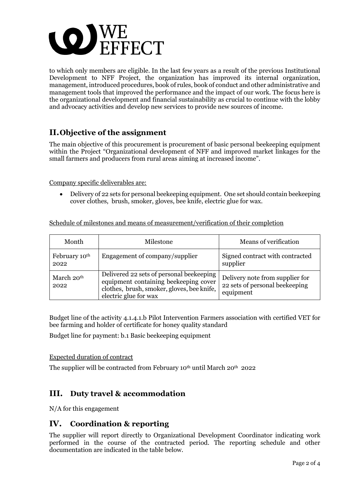

to which only members are eligible. In the last few years as a result of the previous Institutional Development to NFF Project, the organization has improved its internal organization, management, introduced procedures, book of rules, book of conduct and other administrative and management tools that improved the performance and the impact of our work. The focus here is the organizational development and financial sustainability as crucial to continue with the lobby and advocacy activities and develop new services to provide new sources of income.

## **II.Objective of the assignment**

The main objective of this procurement is procurement of basic personal beekeeping equipment within the Project "Organizational development of NFF and improved market linkages for the small farmers and producers from rural areas aiming at increased income".

Company specific deliverables are:

 Delivery of 22 sets for personal beekeeping equipment. One set should contain beekeeping cover clothes, brush, smoker, gloves, bee knife, electric glue for wax.

Schedule of milestones and means of measurement/verification of their completion

| Month                             | Milestone                                                                                                                                                | Means of verification                                                          |
|-----------------------------------|----------------------------------------------------------------------------------------------------------------------------------------------------------|--------------------------------------------------------------------------------|
| February 10 <sup>th</sup><br>2022 | Engagement of company/supplier                                                                                                                           | Signed contract with contracted<br>supplier                                    |
| March 20 <sup>th</sup><br>2022    | Delivered 22 sets of personal beekeeping<br>equipment containing beekeeping cover<br>clothes, brush, smoker, gloves, bee knife,<br>electric glue for wax | Delivery note from supplier for<br>22 sets of personal beekeeping<br>equipment |

Budget line of the activity 4.1.4.1.b Pilot Intervention Farmers association with certified VET for bee farming and holder of certificate for honey quality standard

Budget line for payment: b.1 Basic beekeeping equipment

Expected duration of contract

The supplier will be contracted from February 10<sup>th</sup> until March 20<sup>th</sup> 2022

#### **III. Duty travel & accommodation**

N/A for this engagement

#### **IV. Coordination & reporting**

The supplier will report directly to Organizational Development Coordinator indicating work performed in the course of the contracted period. The reporting schedule and other documentation are indicated in the table below.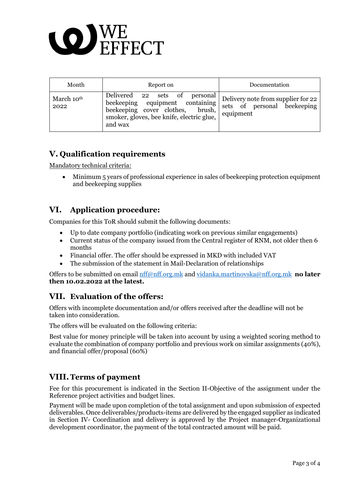

| Month                          | Report on                                                                                                                                                          | Documentation                                                                  |
|--------------------------------|--------------------------------------------------------------------------------------------------------------------------------------------------------------------|--------------------------------------------------------------------------------|
| March 10 <sup>th</sup><br>2022 | Delivered 22 sets of<br>personal<br>beekeeping equipment containing<br>beekeeping cover clothes,<br>brush,<br>smoker, gloves, bee knife, electric glue,<br>and wax | Delivery note from supplier for 22<br>sets of personal beekeeping<br>equipment |

## **V. Qualification requirements**

Mandatory technical criteria:

 Minimum 5 years of professional experience in sales of beekeeping protection equipment and beekeeping supplies

# **VI. Application procedure:**

Companies for this ToR should submit the following documents:

- Up to date company portfolio (indicating work on previous similar engagements)
- Current status of the company issued from the Central register of RNM, not older then 6 months
- Financial offer. The offer should be expressed in MKD with included VAT
- The submission of the statement in Mail-Declaration of relationships

Offers to be submitted on email [nff@nff.org.mk](mailto:nff@nff.org.mk) an[d vidanka.martinovska@nff.org.mk](mailto:vidanka.martinovska@nff.org.mk) **no later then 10.02.2022 at the latest.**

#### **VII. Evaluation of the offers:**

Offers with incomplete documentation and/or offers received after the deadline will not be taken into consideration.

The offers will be evaluated on the following criteria:

Best value for money principle will be taken into account by using a weighted scoring method to evaluate the combination of company portfolio and previous work on similar assignments (40%), and financial offer/proposal (60%)

# **VIII.Terms of payment**

Fee for this procurement is indicated in the Section II-Objective of the assignment under the Reference project activities and budget lines.

Payment will be made upon completion of the total assignment and upon submission of expected deliverables. Once deliverables/products-items are delivered by the engaged supplier as indicated in Section IV- Coordination and delivery is approved by the Project manager-Organizational development coordinator, the payment of the total contracted amount will be paid.